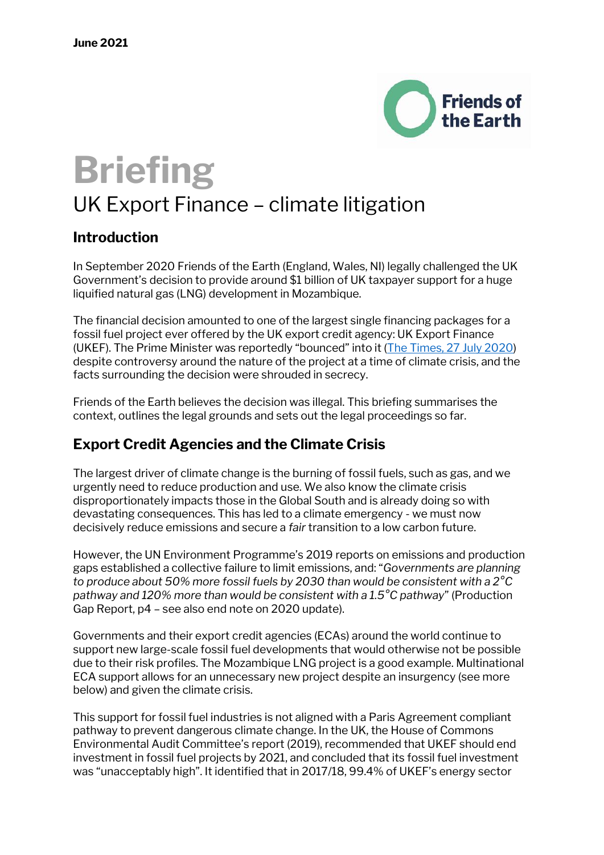

# **Briefing**

# UK Export Finance – climate litigation

### **Introduction**

In September 2020 Friends of the Earth (England, Wales, NI) legally challenged the UK Government's decision to provide around \$1 billion of UK taxpayer support for a huge liquified natural gas (LNG) development in Mozambique.

The financial decision amounted to one of the largest single financing packages for a fossil fuel project ever offered by the UK export credit agency: UK Export Finance (UKEF). The Prime Minister was reportedly "bounced" into it ([The Times, 27 July 2020\)](https://www.thetimes.co.uk/article/pm-cleans-up-reputation-by-defunding-foreign-oil-projects-vt68ldlk8) despite controversy around the nature of the project at a time of climate crisis, and the facts surrounding the decision were shrouded in secrecy.

Friends of the Earth believes the decision was illegal. This briefing summarises the context, outlines the legal grounds and sets out the legal proceedings so far.

# **Export Credit Agencies and the Climate Crisis**

The largest driver of climate change is the burning of fossil fuels, such as gas, and we urgently need to reduce production and use. We also know the climate crisis disproportionately impacts those in the Global South and is already doing so with devastating consequences. This has led to a climate emergency - we must now decisively reduce emissions and secure a *fair* transition to a low carbon future.

However, the UN Environment Programme's 2019 reports on emissions and production gaps established a collective failure to limit emissions, and: "*Governments are planning to produce about 50% more fossil fuels by 2030 than would be consistent with a 2°C pathway and 120% more than would be consistent with a 1.5°C pathway*" (Production Gap Report, p4 – see also end note on 2020 update).

Governments and their export credit agencies (ECAs) around the world continue to support new large-scale fossil fuel developments that would otherwise not be possible due to their risk profiles. The Mozambique LNG project is a good example. Multinational ECA support allows for an unnecessary new project despite an insurgency (see more below) and given the climate crisis.

This support for fossil fuel industries is not aligned with a Paris Agreement compliant pathway to prevent dangerous climate change. In the UK, the House of Commons Environmental Audit Committee's report (2019), recommended that UKEF should end investment in fossil fuel projects by 2021, and concluded that its fossil fuel investment was "unacceptably high". It identified that in 2017/18, 99.4% of UKEF's energy sector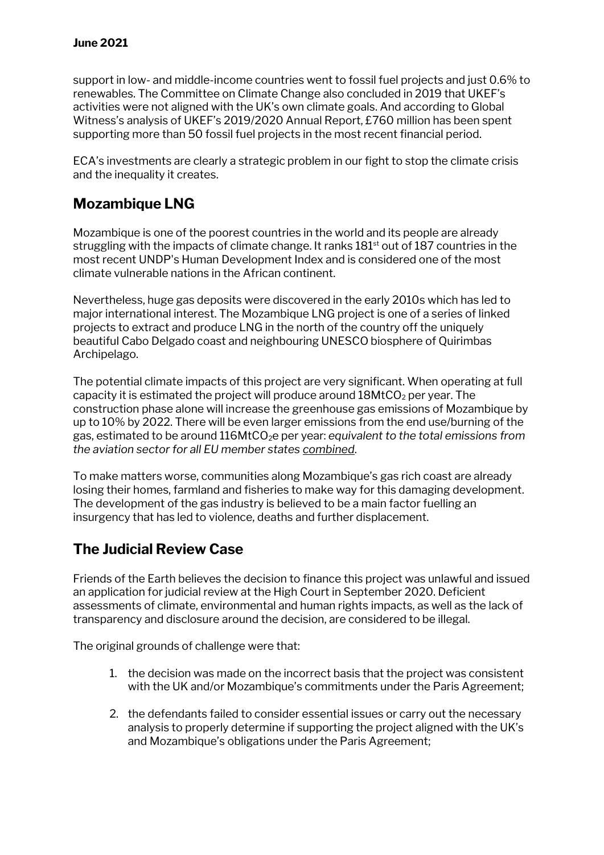#### **June 2021**

support in low- and middle-income countries went to fossil fuel projects and just 0.6% to renewables. The Committee on Climate Change also concluded in 2019 that UKEF's activities were not aligned with the UK's own climate goals. And according to Global Witness's analysis of UKEF's 2019/2020 Annual Report, £760 million has been spent supporting more than 50 fossil fuel projects in the most recent financial period.

ECA's investments are clearly a strategic problem in our fight to stop the climate crisis and the inequality it creates.

# **Mozambique LNG**

Mozambique is one of the poorest countries in the world and its people are already struggling with the impacts of climate change. It ranks 181<sup>st</sup> out of 187 countries in the most recent UNDP's Human Development Index and is considered one of the most climate vulnerable nations in the African continent.

Nevertheless, huge gas deposits were discovered in the early 2010s which has led to major international interest. The Mozambique LNG project is one of a series of linked projects to extract and produce LNG in the north of the country off the uniquely beautiful Cabo Delgado coast and neighbouring UNESCO biosphere of Quirimbas Archipelago.

The potential climate impacts of this project are very significant. When operating at full capacity it is estimated the project will produce around  $18$ MtCO<sub>2</sub> per year. The construction phase alone will increase the greenhouse gas emissions of Mozambique by up to 10% by 2022. There will be even larger emissions from the end use/burning of the gas, estimated to be around 116MtCO2e per year: *equivalent to the total emissions from the aviation sector for all EU member states combined*.

To make matters worse, communities along Mozambique's gas rich coast are already losing their homes, farmland and fisheries to make way for this damaging development. The development of the gas industry is believed to be a main factor fuelling an insurgency that has led to violence, deaths and further displacement.

# **The Judicial Review Case**

Friends of the Earth believes the decision to finance this project was unlawful and issued an application for judicial review at the High Court in September 2020. Deficient assessments of climate, environmental and human rights impacts, as well as the lack of transparency and disclosure around the decision, are considered to be illegal.

The original grounds of challenge were that:

- 1. the decision was made on the incorrect basis that the project was consistent with the UK and/or Mozambique's commitments under the Paris Agreement;
- 2. the defendants failed to consider essential issues or carry out the necessary analysis to properly determine if supporting the project aligned with the UK's and Mozambique's obligations under the Paris Agreement;